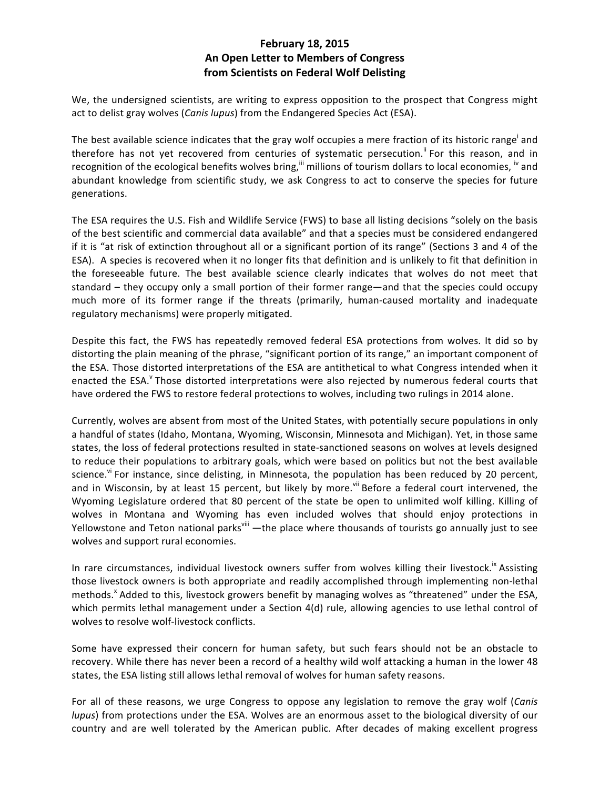## **February 18, 2015 An Open Letter to Members of Congress from Scientists on Federal Wolf Delisting**

We, the undersigned scientists, are writing to express opposition to the prospect that Congress might act to delist gray wolves (*Canis lupus*) from the Endangered Species Act (ESA).

The best available science indicates that the gray wolf occupies a mere fraction of its historic range<sup>i</sup> and therefore has not yet recovered from centuries of systematic persecution.<sup>ii</sup> For this reason, and in recognition of the ecological benefits wolves bring,  $^{\text{iii}}$  millions of tourism dollars to local economies,  $^{\text{iv}}$  and abundant knowledge from scientific study, we ask Congress to act to conserve the species for future generations.

The ESA requires the U.S. Fish and Wildlife Service (FWS) to base all listing decisions "solely on the basis of the best scientific and commercial data available" and that a species must be considered endangered if it is "at risk of extinction throughout all or a significant portion of its range" (Sections 3 and 4 of the ESA). A species is recovered when it no longer fits that definition and is unlikely to fit that definition in the foreseeable future. The best available science clearly indicates that wolves do not meet that standard – they occupy only a small portion of their former range—and that the species could occupy much more of its former range if the threats (primarily, human-caused mortality and inadequate regulatory mechanisms) were properly mitigated.

Despite this fact, the FWS has repeatedly removed federal ESA protections from wolves. It did so by distorting the plain meaning of the phrase, "significant portion of its range," an important component of the ESA. Those distorted interpretations of the ESA are antithetical to what Congress intended when it enacted the ESA.<sup>V</sup> Those distorted interpretations were also rejected by numerous federal courts that have ordered the FWS to restore federal protections to wolves, including two rulings in 2014 alone.

Currently, wolves are absent from most of the United States, with potentially secure populations in only a handful of states (Idaho, Montana, Wyoming, Wisconsin, Minnesota and Michigan). Yet, in those same states, the loss of federal protections resulted in state-sanctioned seasons on wolves at levels designed to reduce their populations to arbitrary goals, which were based on politics but not the best available science.<sup>vi</sup> For instance, since delisting, in Minnesota, the population has been reduced by 20 percent, and in Wisconsin, by at least 15 percent, but likely by more.<sup>vii</sup> Before a federal court intervened, the Wyoming Legislature ordered that 80 percent of the state be open to unlimited wolf killing. Killing of wolves in Montana and Wyoming has even included wolves that should enjoy protections in Yellowstone and Teton national parks<sup>viii</sup> —the place where thousands of tourists go annually just to see wolves and support rural economies.

In rare circumstances, individual livestock owners suffer from wolves killing their livestock.<sup>1x</sup> Assisting those livestock owners is both appropriate and readily accomplished through implementing non-lethal methods.<sup>x</sup> Added to this, livestock growers benefit by managing wolves as "threatened" under the ESA, which permits lethal management under a Section 4(d) rule, allowing agencies to use lethal control of wolves to resolve wolf-livestock conflicts.

Some have expressed their concern for human safety, but such fears should not be an obstacle to recovery. While there has never been a record of a healthy wild wolf attacking a human in the lower 48 states, the ESA listing still allows lethal removal of wolves for human safety reasons.

For all of these reasons, we urge Congress to oppose any legislation to remove the gray wolf (*Canis lupus*) from protections under the ESA. Wolves are an enormous asset to the biological diversity of our country and are well tolerated by the American public. After decades of making excellent progress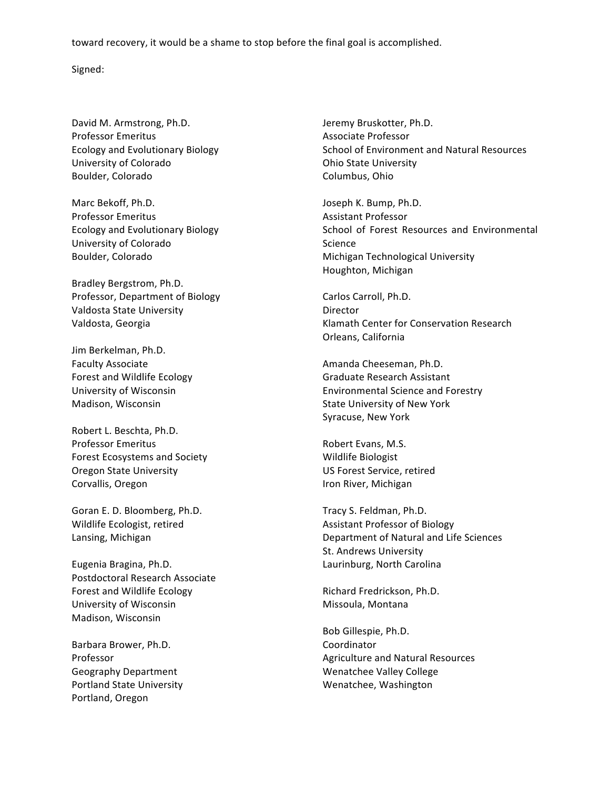toward recovery, it would be a shame to stop before the final goal is accomplished.

Signed:

David M. Armstrong, Ph.D. Professor Emeritus Ecology and Evolutionary Biology University of Colorado Boulder, Colorado

Marc Bekoff, Ph.D. Professor Emeritus Ecology and Evolutionary Biology University of Colorado Boulder, Colorado

Bradley Bergstrom, Ph.D. Professor, Department of Biology Valdosta State University Valdosta, Georgia

Jim Berkelman, Ph.D. Faculty Associate Forest and Wildlife Ecology University of Wisconsin Madison, Wisconsin

Robert L. Beschta, Ph.D. Professor Emeritus Forest Ecosystems and Society Oregon State University Corvallis, Oregon

Goran E. D. Bloomberg, Ph.D. Wildlife Ecologist, retired Lansing, Michigan

Eugenia Bragina, Ph.D. Postdoctoral Research Associate Forest and Wildlife Ecology University of Wisconsin Madison, Wisconsin

Barbara Brower, Ph.D. Professor Geography Department Portland State University Portland, Oregon

Jeremy Bruskotter, Ph.D. Associate Professor School of Environment and Natural Resources Ohio State University Columbus, Ohio

Joseph K. Bump, Ph.D. Assistant Professor School of Forest Resources and Environmental Science Michigan Technological University Houghton, Michigan

Carlos Carroll, Ph.D. Director Klamath Center for Conservation Research Orleans, California

Amanda Cheeseman, Ph.D. Graduate Research Assistant Environmental Science and Forestry State University of New York Syracuse, New York

Robert Evans, M.S. Wildlife Biologist US Forest Service, retired Iron River, Michigan

Tracy S. Feldman, Ph.D. Assistant Professor of Biology Department of Natural and Life Sciences St. Andrews University Laurinburg, North Carolina

Richard Fredrickson, Ph.D. Missoula, Montana

Bob Gillespie, Ph.D. Coordinator Agriculture and Natural Resources Wenatchee Valley College Wenatchee, Washington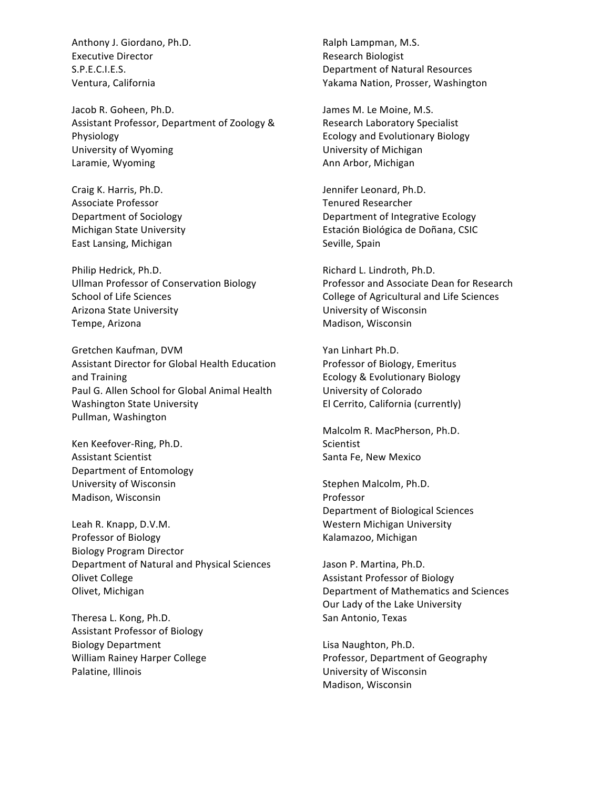Anthony J. Giordano, Ph.D. Executive Director S.P.E.C.I.E.S. Ventura, California

Jacob R. Goheen, Ph.D. Assistant Professor, Department of Zoology & Physiology University of Wyoming Laramie, Wyoming

Craig K. Harris, Ph.D. Associate Professor Department of Sociology Michigan State University East Lansing, Michigan

Philip Hedrick, Ph.D. Ullman Professor of Conservation Biology School of Life Sciences Arizona State University Tempe, Arizona

Gretchen Kaufman, DVM Assistant Director for Global Health Education and Training Paul G. Allen School for Global Animal Health Washington State University Pullman, Washington

Ken Keefover-Ring, Ph.D. Assistant Scientist Department of Entomology University of Wisconsin Madison, Wisconsin

Leah R. Knapp, D.V.M. Professor of Biology Biology Program Director Department of Natural and Physical Sciences **Olivet College** Olivet, Michigan

Theresa L. Kong, Ph.D. Assistant Professor of Biology Biology Department William Rainey Harper College Palatine, Illinois

Ralph Lampman, M.S. Research Biologist Department of Natural Resources Yakama Nation, Prosser, Washington

James M. Le Moine, M.S. Research Laboratory Specialist Ecology and Evolutionary Biology University of Michigan Ann Arbor, Michigan

Jennifer Leonard, Ph.D. Tenured Researcher Department of Integrative Ecology Estación Biológica de Doñana, CSIC Seville, Spain

Richard L. Lindroth, Ph.D. Professor and Associate Dean for Research College of Agricultural and Life Sciences University of Wisconsin Madison, Wisconsin

Yan Linhart Ph.D. Professor of Biology, Emeritus Ecology & Evolutionary Biology University of Colorado El Cerrito, California (currently)

Malcolm R. MacPherson, Ph.D. Scientist Santa Fe, New Mexico

Stephen Malcolm, Ph.D. Professor Department of Biological Sciences Western Michigan University Kalamazoo, Michigan

Jason P. Martina, Ph.D. Assistant Professor of Biology Department of Mathematics and Sciences Our Lady of the Lake University San Antonio, Texas

Lisa Naughton, Ph.D. Professor, Department of Geography University of Wisconsin Madison, Wisconsin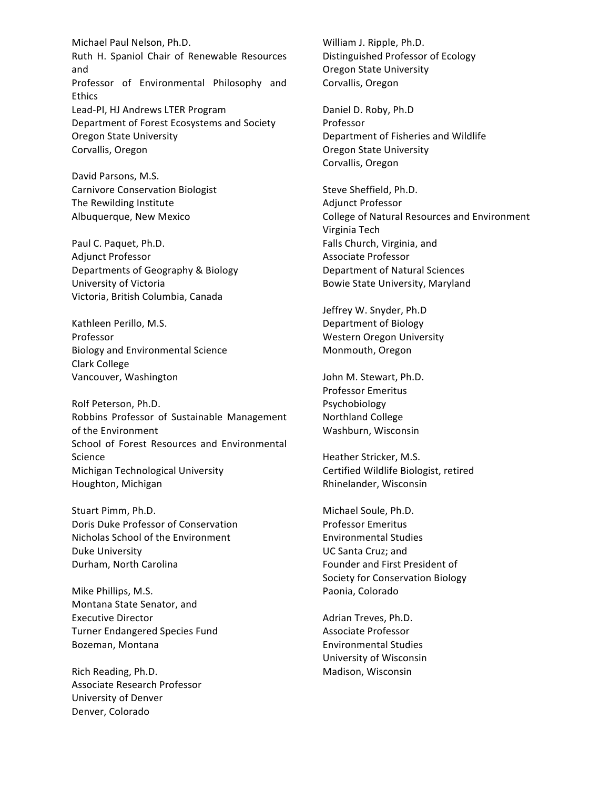Michael Paul Nelson, Ph.D. Ruth H. Spaniol Chair of Renewable Resources and Professor of Environmental Philosophy and Ethics Lead-PI, HJ Andrews LTER Program Department of Forest Ecosystems and Society Oregon State University Corvallis, Oregon

David Parsons, M.S. Carnivore Conservation Biologist The Rewilding Institute Albuquerque, New Mexico

Paul C. Paquet, Ph.D. Adjunct Professor Departments of Geography & Biology University of Victoria Victoria, British Columbia, Canada

Kathleen Perillo, M.S. Professor Biology and Environmental Science Clark College Vancouver, Washington

Rolf Peterson, Ph.D. Robbins Professor of Sustainable Management of the Environment School of Forest Resources and Environmental Science Michigan Technological University Houghton, Michigan

Stuart Pimm, Ph.D. Doris Duke Professor of Conservation Nicholas School of the Environment Duke University Durham, North Carolina

Mike Phillips, M.S. Montana State Senator, and Executive Director Turner Endangered Species Fund Bozeman, Montana

Rich Reading, Ph.D. Associate Research Professor University of Denver Denver, Colorado

William J. Ripple, Ph.D. Distinguished Professor of Ecology Oregon State University Corvallis, Oregon

Daniel D. Roby, Ph.D Professor Department of Fisheries and Wildlife Oregon State University Corvallis, Oregon

Steve Sheffield, Ph.D. Adjunct Professor College of Natural Resources and Environment Virginia Tech Falls Church, Virginia, and Associate Professor Department of Natural Sciences Bowie State University, Maryland

Jeffrey W. Snyder, Ph.D Department of Biology Western Oregon University Monmouth, Oregon

John M. Stewart, Ph.D. Professor Emeritus Psychobiology Northland College Washburn, Wisconsin

Heather Stricker, M.S. Certified Wildlife Biologist, retired Rhinelander, Wisconsin

Michael Soule, Ph.D. Professor Emeritus Environmental Studies UC Santa Cruz; and Founder and First President of Society for Conservation Biology Paonia, Colorado

Adrian Treves, Ph.D. Associate Professor Environmental Studies University of Wisconsin Madison, Wisconsin